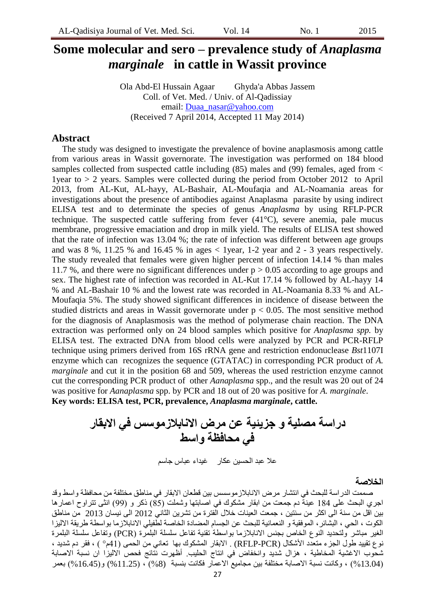# **Some molecular and sero – prevalence study of** *Anaplasma marginale* **in cattle in Wassit province**

Ola Abd-El Hussain Agaar Ghyda'a Abbas Jassem Coll. of Vet. Med. / Univ. of Al-Qadissiay email: [Duaa\\_nasar@yahoo.com](mailto:Duaa_nasar@yahoo.com) (Received 7 April 2014, Accepted 11 May 2014)

### **Abstract**

The study was designed to investigate the prevalence of bovine anaplasmosis among cattle from various areas in Wassit governorate. The investigation was performed on 184 blood samples collected from suspected cattle including (85) males and (99) females, aged from  $\lt$ 1year to > 2 years. Samples were collected during the period from October 2012 to April 2013, from AL-Kut, AL-hayy, AL-Bashair, AL-Moufaqia and AL-Noamania areas for investigations about the presence of antibodies against Anaplasma parasite by using indirect ELISA test and to determinate the species of genus *Anaplasma* by using RFLP-PCR technique. The suspected cattle suffering from fever (41°C), severe anemia, pale mucus membrane, progressive emaciation and drop in milk yield. The results of ELISA test showed that the rate of infection was 13.04 %; the rate of infection was different between age groups and was  $8\%$ , 11.25 % and 16.45 % in ages  $<$  1 year, 1-2 year and 2 - 3 years respectively. The study revealed that females were given higher percent of infection 14.14 % than males 11.7 %, and there were no significant differences under  $p > 0.05$  according to age groups and sex. The highest rate of infection was recorded in AL-Kut 17.14 % followed by AL-hayy 14 % and AL-Bashair 10 % and the lowest rate was recorded in AL-Noamania 8.33 % and AL-Moufaqia 5%. The study showed significant differences in incidence of disease between the studied districts and areas in Wassit governorate under  $p < 0.05$ . The most sensitive method for the diagnosis of Anaplasmosis was the method of polymerase chain reaction. The DNA extraction was performed only on 24 blood samples which positive for *Anaplasma spp.* by ELISA test. The extracted DNA from blood cells were analyzed by PCR and PCR-RFLP technique using primers derived from 16S rRNA gene and restriction endonuclease *Bst*1107I enzyme which can recognizes the sequence (GTATAC) in corresponding PCR product of *A. marginale* and cut it in the position 68 and 509, whereas the used restriction enzyme cannot cut the corresponding PCR product of other *Aanaplasma* spp., and the result was 20 out of 24 was positive for *Aanaplasma* spp. by PCR and 18 out of 20 was positive for *A. marginale*. **Key words: ELISA test, PCR, prevalence,** *Anaplasma marginale***, cattle.**

**دراست مصليت و جسيئيت عن مرض االنببالزموسس في االبقبر في محبفظت واسط**

علا عبد الحسين عكار من غيداء عباس جاسم

#### **الخالصت**

صممت الدر اسة للبحث في انتشار مرض الانابلاز موسسس بين فطعان الابقار في مناطق مختلفة من محافظة واسط وقد اجري البحث على 184 عينة دم جمعت من ابقار مشكوك في اصابتها وشملت (85) ذكر و (99) انثى تتراوح اعمارها بين اقل من سنة الى اكثر من سنتين ، جمعت العينات خلال الفترة من تشرين الثاني 2012 الى نيسان 2013 من مناطق الكوت ، الحي ، البشائر ، الموفقية و النعمانية للبحث عن الجسام المضادة الخاصة لطفيلي الانابلاز ما بو اسطة طر يقة الاليز ا الُغير مباشر ولتحديد النوع الخاص بجنس الانابلازما بواسطة تقنية تفاعل سلسلة البلمرة (PCR) وتفاعل سلسلة البلمرة نوع تقييد طول الجزء متعدد الأشكال (RFLP-PCR) . الابقار المشكوك بها تعانى من الحمى (41م° ) ، فقر دم شديد ، شحوب الاغشية المخاطية ، هزال شديد وانخفاض في انتاج الحليب. أظهرت نتائج فحص الاليزا ان نسبة الاصابة بعر (13.04%) ، وكانت نسبة الأصابة مختلفة بين مجاميع الأعمار فكانت بنسبة (8%) ، (11.25%) و(16.45%) بعمر ")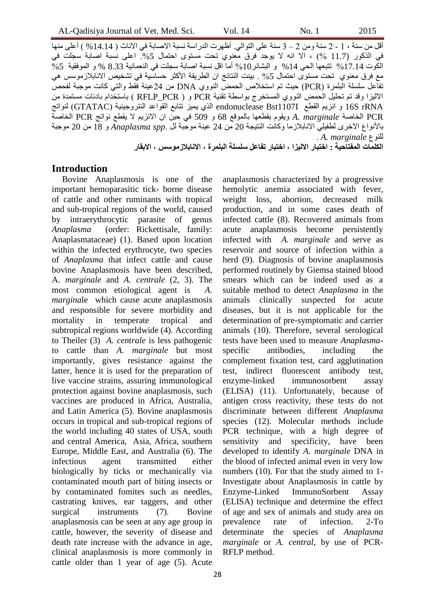أقل من سنة ، 1 - 2 سنة ومن 2 – 3 سنة على التوالي. أظهرت الدر اسة نسبة الاصابة في الآناث ( 14.14 % ) أعلى منها في الذكور (11.7 %) ، الا انه لا يوجد فرق معنوي تحت مستوى احتمال 5% اعلى نسبة اصابة سجلت في الكوت 14.14% نتتبعها الحي 14% و البشائر10% أما اقل نسبة اصابة سجلت في النعمانية 8.33 % و الموفقية 5% مع فرق معنوى تحت مستوى احتمال 5% . بينت النتائج ان الطريقة الأكثر حساسية في تشخيص الانابلازموسس هي تفاعل سلسلة الّبلمرة (PCR) حيث تم استخلاص الحمض النووي DNA من 24عينة فُقط والتي كانت موجبة لفحصٌ الاليزا وقد تم تحليل الحمض النووي المستخرج بواسطة تقنية PCR و ( RFLP\_PCR ) باستخدام بادئات مستمدة من rRNA S16 و اَضَى انمطغ I1107Bst endonuclease انزٌ ًَُض ذراتغ انمىاػذ انُرشوخُُُح )GTATAC )نُىاذح PCR الخاصة A. *marginale الخاصة A. marginale الخاصة* التي تمويد النهيج العاصمية الصحية الصحية تاألَىاع االخشي نطفُهٍ االَاتالصيا وكاَد انُرُدح 20 يٍ 24 ػُُح يىخثح نم .*spp Anaplasma* و 18 يٍ 20 يىخثح نهُىع *marginale .A* . **الكلمبث المفتبحيت : اختببر االليسا ، اختببر تفبعل سلسلت البلمرة ، االنببالزموسس ، االبقبر**

#### **Introduction**

Bovine Anaplasmosis is one of the important hemoparasitic tick- borne disease of cattle and other ruminants with tropical and sub-tropical regions of the world, caused by intraerythrocytic parasite of genus *Anaplasma* (order: Rickettisale, family: Anaplasmataceae) (1). Based upon location within the infected erythrocyte, two species of *Anaplasma* that infect cattle and cause bovine Anaplasmosis have been described, A*. marginale* and *A. centrale* (2, 3). The most common etiological agent is *A. margina*le which cause acute anaplasmosis and responsible for severe morbidity and mortality in temperate tropical and subtropical regions worldwide (4). According to Theiler (3) *A. centrale* is less pathogenic to cattle than *A. marginale* but most importantly, gives resistance against the latter, hence it is used for the preparation of live vaccine strains, assuring immunological protection against bovine anaplasmosis, such vaccines are produced in Africa, Australia, and Latin America (5). Bovine anaplasmosis occurs in tropical and sub-tropical regions of the world including 40 states of USA, south and central America, Asia, Africa, southern Europe, Middle East, and Australia (6). The infectious agent transmitted either biologically by ticks or mechanically via contaminated mouth part of biting insects or by contaminated fomites such as needles, castrating knives, ear taggers, and other surgical instruments (7). Bovine anaplasmosis can be seen at any age group in cattle, however, the severity of disease and death rate increase with the advance in age, clinical anaplasmosis is more commonly in cattle older than 1 year of age (5). Acute

hemolytic anemia associated with fever, weight loss, abortion, decreased milk production, and in some cases death of infected cattle (8). Recovered animals from acute anaplasmosis become persistently infected with *A. marginale* and serve as reservoir and source of infection within a herd (9). Diagnosis of bovine anaplasmosis performed routinely by Giemsa stained blood smears which can be indeed used as a suitable method to detect *Anaplasma* in the animals clinically suspected for acute diseases, but it is not applicable for the determination of pre-symptomatic and carrier animals (10). Therefore, several serological tests have been used to measure *Anaplasma*specific antibodies, including the complement fixation test, card agglutination test, indirect fluorescent antibody test, enzyme-linked immunosorbent assay (ELISA) (11). Unfortunately, because of antigen cross reactivity, these tests do not discriminate between different *Anaplasma* species (12). Molecular methods include PCR technique, with a high degree of sensitivity and specificity, have been developed to identify *A. marginale* DNA in the blood of infected animal even in very low numbers (10). For that the study aimed to 1- Investigate about Anaplasmosis in cattle by Enzyme-Linked ImmunoSorbent Assay (ELISA) technique and determine the effect of age and sex of animals and study area on prevalence rate of infection. 2-To determinate the species of *Anaplasma marginale* or *A. central*, by use of PCR-RFLP method.

anaplasmosis characterized by a progressive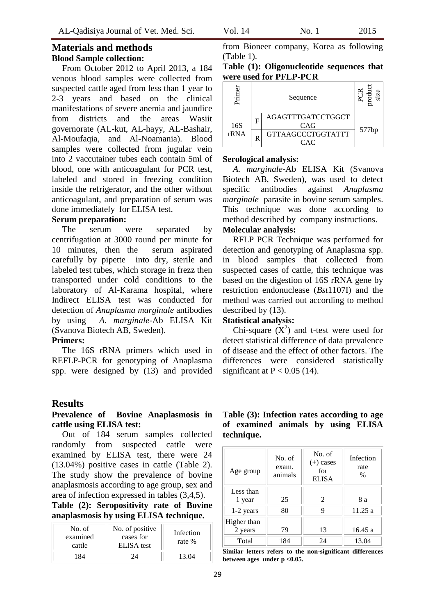## **Materials and methods Blood Sample collection:**

From October 2012 to April 2013, a 184 venous blood samples were collected from suspected cattle aged from less than 1 year to 2-3 years and based on the clinical manifestations of severe anemia and jaundice from districts and the areas Wasiit governorate (AL-kut, AL-hayy, AL-Bashair, Al-Moufaqia, and Al-Noamania). Blood samples were collected from jugular vein into 2 vaccutainer tubes each contain 5ml of blood, one with anticoagulant for PCR test, labeled and stored in freezing condition inside the refrigerator, and the other without anticoagulant, and preparation of serum was done immediately for ELISA test.

#### **Serum preparation:**

The serum were separated by centrifugation at 3000 round per minute for 10 minutes, then the serum aspirated carefully by pipette into dry, sterile and labeled test tubes, which storage in frezz then transported under cold conditions to the laboratory of Al-Karama hospital, where Indirect ELISA test was conducted for detection of *Anaplasma marginale* antibodies by using *A. marginale*-Ab ELISA Kit (Svanova Biotech AB, Sweden).

#### **Primers:**

The 16S rRNA primers which used in REFLP-PCR for genotyping of Anaplasma spp. were designed by (13) and provided

## **Results**

**Prevalence of Bovine Anaplasmosis in cattle using ELISA test:**

Out of 184 serum samples collected randomly from suspected cattle were examined by ELISA test, there were 24 (13.04%) positive cases in cattle (Table 2). The study show the prevalence of bovine anaplasmosis according to age group, sex and area of infection expressed in tables (3,4,5).

**Table (2): Seropositivity rate of Bovine anaplasmosis by using ELISA technique.**

| No. of<br>examined<br>cattle | No. of positive<br>cases for<br><b>ELISA</b> test | Infection<br>rate % |
|------------------------------|---------------------------------------------------|---------------------|
|                              |                                                   | 13 O4               |

from Bioneer company, Korea as following (Table 1).

| Table (1): Oligonucleotide sequences that |  |
|-------------------------------------------|--|
| were used for PFLP-PCR                    |  |

| rimer | Sequence |                                               |       |
|-------|----------|-----------------------------------------------|-------|
| 16S   | F        | <b>AGAGTTTGATCCTGGCT</b><br>CAG               |       |
| rRNA  | R        | <b>GTTAAGCCCTGGTATTT</b><br>$\lnot$ A $\lnot$ | 577bp |

#### **Serological analysis:**

*A. marginale*-Ab ELISA Kit (Svanova Biotech AB, Sweden), was used to detect specific antibodies against *Anaplasma marginale* parasite in bovine serum samples. This technique was done according to method described by company instructions.

## **Molecular analysis:**

RFLP PCR Technique was performed for detection and genotyping of Anaplasma spp. in blood samples that collected from suspected cases of cattle, this technique was based on the digestion of 16S rRNA gene by restriction endonuclease (*Bst*1107I) and the method was carried out according to method described by (13).

## **Statistical analysis:**

Chi-square  $(X^2)$  and t-test were used for detect statistical difference of data prevalence of disease and the effect of other factors. The differences were considered statistically significant at  $P < 0.05$  (14).

**Table (3): Infection rates according to age of examined animals by using ELISA technique.**

| Age group              | No. of<br>exam.<br>animals | No. of<br>$(+)$ cases<br>for<br><b>ELISA</b> | Infection<br>rate<br>$\%$ |
|------------------------|----------------------------|----------------------------------------------|---------------------------|
| Less than<br>1 year    | 25                         | $\mathfrak{D}$                               | 8 a                       |
| 1-2 years              | 80                         | 9                                            | 11.25a                    |
| Higher than<br>2 years | 79                         | 13                                           | 16.45a                    |
| Total                  | 184                        | 24                                           | 13.04                     |

**Similar letters refers to the non-significant differences between ages under p <0.05.**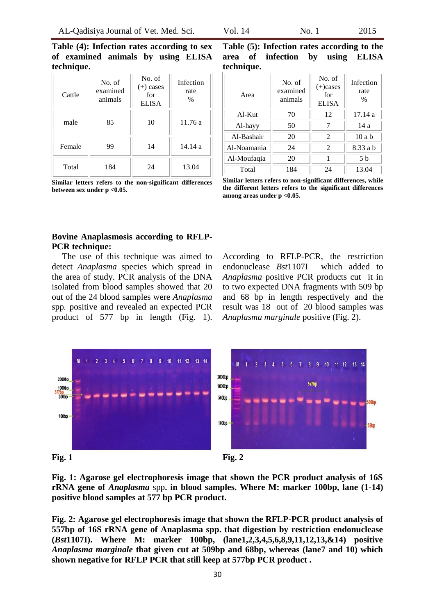**Table (4): Infection rates according to sex of examined animals by using ELISA technique.**

| Cattle | No. of<br>examined<br>animals | No. of<br>$(+)$ cases<br>for<br><b>ELISA</b> | Infection<br>rate<br>$\%$ |
|--------|-------------------------------|----------------------------------------------|---------------------------|
| male   | 85                            | 10                                           | 11.76 a                   |
| Female | 99                            | 14                                           | 14.14 a                   |
| Total  | 184                           | 24                                           | 13.04                     |

**Similar letters refers to the non-significant differences between sex under p <0.05.**

**Table (5): Infection rates according to the area of infection by using ELISA technique.**

| Area        | No. of<br>examined<br>animals | No. of<br>$(+)$ cases<br>for<br><b>ELISA</b> | Infection<br>rate<br>$\%$ |
|-------------|-------------------------------|----------------------------------------------|---------------------------|
| $Al-Kut$    | 70                            | 12                                           | 17.14 a                   |
| Al-hayy     | 50                            |                                              | 14 a                      |
| Al-Bashair  | 20                            | $\mathcal{D}_{\mathcal{L}}$                  | 10a b                     |
| Al-Noamania | 24                            | $\mathcal{D}_{\mathcal{L}}$                  | 8.33 a b                  |
| Al-Moufaqia | 20                            | 1                                            | 5 b                       |
| Total       | 184                           | 24                                           | 13.04                     |

**Similar letters refers to non-significant differences, while the different letters refers to the significant differences among areas under p <0.05.**

## **Bovine Anaplasmosis according to RFLP-PCR technique:**

The use of this technique was aimed to detect *Anaplasma* species which spread in the area of study. PCR analysis of the DNA isolated from blood samples showed that 20 out of the 24 blood samples were *Anaplasma*  spp*.* positive and revealed an expected PCR product of 577 bp in length (Fig. 1).

According to RFLP-PCR, the restriction endonuclease *Bst*1107I which added to *Anaplasma* positive PCR products cut it in to two expected DNA fragments with 509 bp and 68 bp in length respectively and the result was 18 out of 20 blood samples was *Anaplasma marginale* positive (Fig. 2).



**Fig. 1: Agarose gel electrophoresis image that shown the PCR product analysis of 16S rRNA gene of** *Anaplasma* spp**. in blood samples. Where M: marker 100bp, lane (1-14) positive blood samples at 577 bp PCR product.**

**Fig. 2: Agarose gel electrophoresis image that shown the RFLP-PCR product analysis of 557bp of 16S rRNA gene of Anaplasma spp. that digestion by restriction endonuclease (***Bst***1107I). Where M: marker 100bp, (lane1,2,3,4,5,6,8,9,11,12,13,&14) positive**  *Anaplasma marginale* **that given cut at 509bp and 68bp, whereas (lane7 and 10) which shown negative for RFLP PCR that still keep at 577bp PCR product .**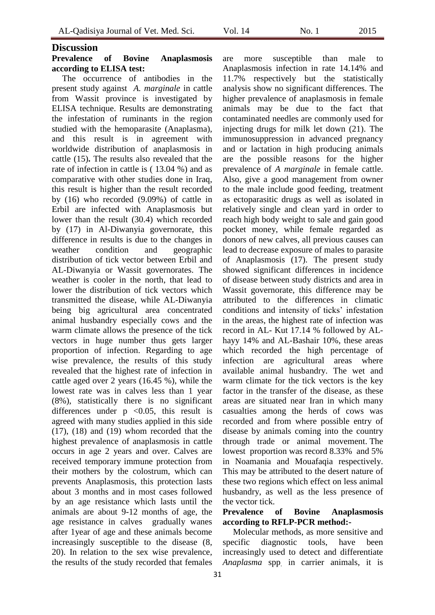## **Discussion**

## **Prevalence of Bovine Anaplasmosis according to ELISA test:**

The occurrence of antibodies in the present study against *A. marginale* in cattle from Wassit province is investigated by ELISA technique. Results are demonstrating the infestation of ruminants in the region studied with the hemoparasite (Anaplasma), and this result is in agreement with worldwide distribution of anaplasmosis in cattle (15)**.** The results also revealed that the rate of infection in cattle is ( 13.04 %) and as comparative with other studies done in Iraq, this result is higher than the result recorded by (16) who recorded (9.09%) of cattle in Erbil are infected with Anaplasmosis but lower than the result (30.4) which recorded by (17) in Al-Diwanyia governorate, this difference in results is due to the changes in weather condition and geographic distribution of tick vector between Erbil and AL-Diwanyia or Wassit governorates. The weather is cooler in the north, that lead to lower the distribution of tick vectors which transmitted the disease, while AL-Diwanyia being big agricultural area concentrated animal husbandry especially cows and the warm climate allows the presence of the tick vectors in huge number thus gets larger proportion of infection. Regarding to age wise prevalence, the results of this study revealed that the highest rate of infection in cattle aged over 2 years (16.45 %), while the lowest rate was in calves less than 1 year (8%), statistically there is no significant differences under  $p \le 0.05$ , this result is agreed with many studies applied in this side (17), (18) and (19) whom recorded that the highest prevalence of anaplasmosis in cattle occurs in age 2 years and over. Calves are received temporary immune protection from their mothers by the colostrum, which can prevents Anaplasmosis, this protection lasts about 3 months and in most cases followed by an age resistance which lasts until the animals are about 9-12 months of age, the age resistance in calves gradually wanes after 1year of age and these animals become increasingly susceptible to the disease (8, 20). In relation to the sex wise prevalence, the results of the study recorded that females

are more susceptible than male to Anaplasmosis infection in rate 14.14% and 11.7% respectively but the statistically analysis show no significant differences. The higher prevalence of anaplasmosis in female animals may be due to the fact that contaminated needles are commonly used for injecting drugs for milk let down (21). The immunosuppression in advanced pregnancy and or lactation in high producing animals are the possible reasons for the higher prevalence of *A marginale* in female cattle. Also, give a good management from owner to the male include good feeding, treatment as ectoparasitic drugs as well as isolated in relatively single and clean yard in order to reach high body weight to sale and gain good pocket money, while female regarded as donors of new calves, all previous causes can lead to decrease exposure of males to parasite of Anaplasmosis (17). The present study showed significant differences in incidence of disease between study districts and area in Wassit governorate, this difference may be attributed to the differences in climatic conditions and intensity of ticks' infestation in the areas, the highest rate of infection was record in AL- Kut 17.14 % followed by ALhayy 14% and AL-Bashair 10%, these areas which recorded the high percentage of infection are agricultural areas where available animal husbandry. The wet and warm climate for the tick vectors is the key factor in the transfer of the disease, as these areas are situated near Iran in which many casualties among the herds of cows was recorded and from where possible entry of disease by animals coming into the country through trade or animal movement. The lowest proportion was record 8.33% and 5% in Noamania and Mouafaqia respectively. This may be attributed to the desert nature of these two regions which effect on less animal husbandry, as well as the less presence of the vector tick.

#### **Prevalence of Bovine Anaplasmosis according to RFLP-PCR method:-**

Molecular methods, as more sensitive and specific diagnostic tools, have been increasingly used to detect and differentiate *Anaplasma* spp. in carrier animals, it is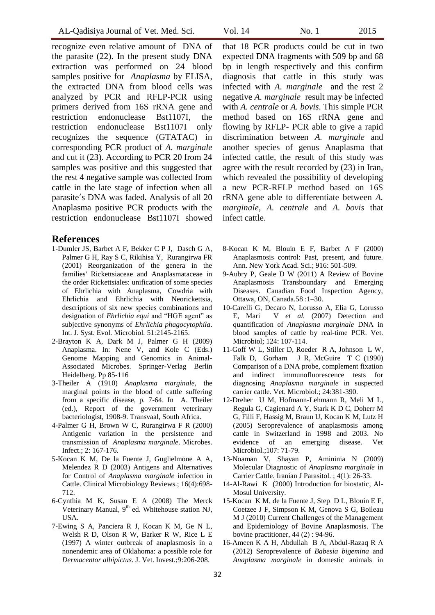recognize even relative amount of DNA of the parasite (22). In the present study DNA extraction was performed on 24 blood samples positive for *Anaplasma* by ELISA, the extracted DNA from blood cells was analyzed by PCR and RFLP-PCR using primers derived from 16S rRNA gene and restriction endonuclease Bst1107I, the restriction endonuclease Bst1107I only recognizes the sequence (GTATAC) in corresponding PCR product of *A. marginale* and cut it (23). According to PCR 20 from 24 samples was positive and this suggested that the rest 4 negative sample was collected from cattle in the late stage of infection when all parasite's DNA was faded. Analysis of all 20 Anaplasma positive PCR products with the restriction endonuclease Bst1107I showed

#### **References**

- 1-Dumler JS, Barbet A F, Bekker C P J, Dasch G A, Palmer G H, Ray S C, Rikihisa Y, Rurangirwa FR (2001) Reorganization of the genera in the families' Rickettsiaceae and Anaplasmataceae in the order Rickettsiales: unification of some species of Ehrlichia with Anaplasma, Cowdria with Ehrlichia and Ehrlichia with Neorickettsia, descriptions of six new species combinations and designation of *Ehrlichia equi* and "HGE agent" as subjective synonyms of *Ehrlichia phagocytophila*. Int. J. Syst. Evol. Microbiol*.* 51:2145*-*2165.
- 2-Brayton K A, Dark M J, Palmer G H (2009) Anaplasma. In: Nene V, and Kole C (Eds.) Genome Mapping and Genomics in Animal-Associated Microbes. Springer-Verlag Berlin Heidelberg. Pp 85-116
- 3-Theiler A (1910) *Anaplasma marginale*, the marginal points in the blood of cattle suffering from a specific disease, p. 7-64. In A. Theiler (ed.), Report of the government veterinary bacteriologist, 1908-9. Transvaal, South Africa.
- 4-Palmer G H, Brown W C, Rurangirwa F R (2000) Antigenic variation in the persistence and transmission of *Anaplasma marginale*. Microbes. Infect.; 2: 167-176.
- 5-Kocan K M, De la Fuente J, Guglielmone A A, Melendez R D (2003) Antigens and Alternatives for Control of *Anaplasma marginale* infection in Cattle. Clinical Microbiology Reviews.; 16(4):698- 712.
- 6-Cynthia M K, Susan E A (2008) The Merck Veterinary Manual, 9<sup>th</sup> ed. Whitehouse station NJ, USA.
- 7-Ewing S A, Panciera R J, Kocan K M, Ge N L, Welsh R D, Olson R W, Barker R W, Rice L E (1997) A winter outbreak of anaplasmosis in a nonendemic area of Oklahoma: a possible role for *Dermacentor albipictus*. J. Vet. Invest.;9:206-208.

that 18 PCR products could be cut in two expected DNA fragments with 509 bp and 68 bp in length respectively and this confirm diagnosis that cattle in this study was infected with *A. marginale* and the rest 2 negative *A. marginale* result may be infected with *A. centrale* or *A. bovis*. This simple PCR method based on 16S rRNA gene and flowing by RFLP- PCR able to give a rapid discrimination between *A. marginale* and another species of genus Anaplasma that infected cattle, the result of this study was agree with the result recorded by (23) in Iran, which revealed the possibility of developing a new PCR-RFLP method based on 16S rRNA gene able to differentiate between *A. marginale*, *A. centrale* and *A. bovis* that infect cattle.

- 8-Kocan K M, Blouin E F, Barbet A F (2000) Anaplasmosis control: Past, present, and future. Ann. New York Acad. Sci.; 916: 501-509.
- 9-Aubry P, Geale D W (2011) A Review of Bovine Anaplasmosis Transboundary and Emerging Diseases. Canadian Food Inspection Agency, Ottawa, ON, Canada.58 :1–30.
- 10-Carelli G, Decaro N, Lorusso A, Elia G, Lorusso E, Mari V *et al.* (2007) Detection and quantification of *Anaplasma marginale* DNA in blood samples of cattle by real-time PCR. Vet. Microbiol; 124: 107-114.
- 11-Goff W L, Stiller D, Roeder R A, Johnson L W, Falk D, Gorham J R, McGuire T C (1990) Comparison of a DNA probe, complement fixation and indirect immunofluorescence tests for diagnosing *Anaplasma marginale* in suspected carrier cattle. Vet. Microbiol.; 24:381-390.
- 12-Dreher U M, Hofmann-Lehmann R, Meli M L, Regula G, Cagienard A Y, Stark K D C, Doherr M G, Filli F, Hassig M, Braun U, Kocan K M, Lutz H (2005) Seroprevalence of anaplasmosis among cattle in Switzerland in 1998 and 2003. No evidence of an emerging disease. Vet Microbiol.;107: 71-79.
- 13-Noaman V, Shayan P, Amininia N (2009) Molecular Diagnostic of *Anaplasma marginale* in Carrier Cattle. Iranian J Parasitol. ; 4(1): 26-33.
- 14-Al-Rawi K (2000) Introduction for biostatic, Al-Mosul University.
- 15-Kocan K M, de la Fuente J, Step D L, Blouin E F, Coetzee J F, Simpson K M, Genova S G, Boileau M J (2010) Current Challenges of the Management and Epidemiology of Bovine Anaplasmosis. The bovine practitioner, 44 (2) : 94-96.
- 16-Ameen K A H, Abdullah B A, Abdul-Razaq R A (2012) Seroprevalence of *Babesia bigemina* and *Anaplasma marginale* in domestic animals in